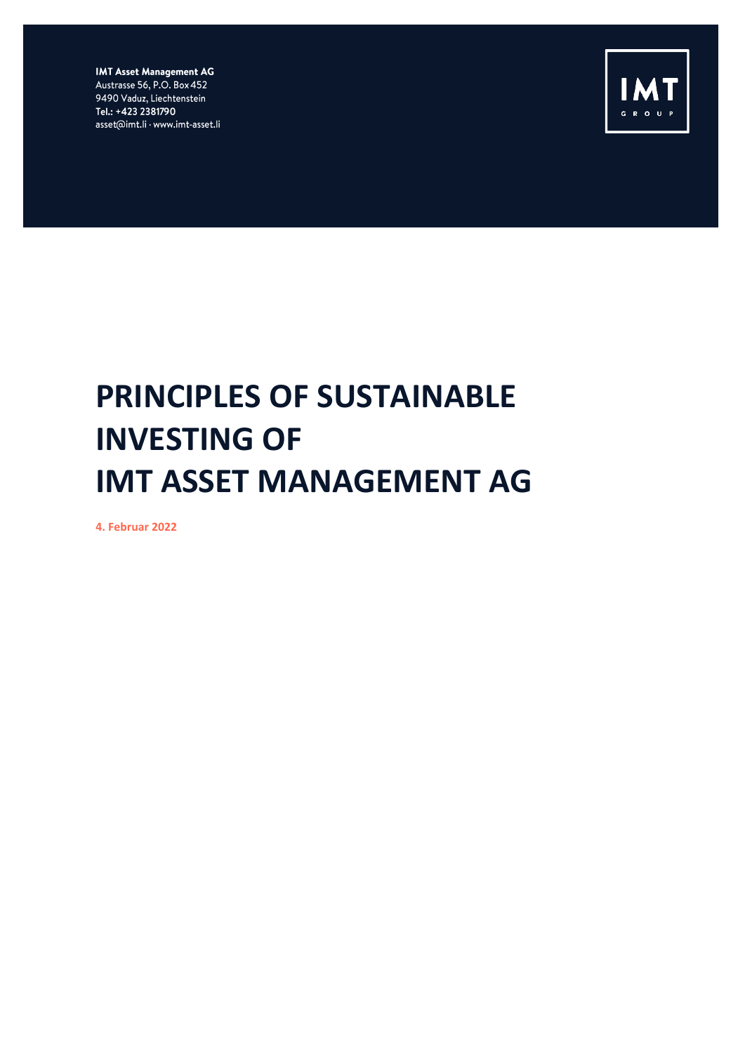**IMT Asset Management AG** Austrasse 56, P.O. Box 452 9490 Vaduz, Liechtenstein Tel.: +423 2381790 asset@imt.li · www.imt-asset.li



## **PRINCIPLES OF SUSTAINABLE INVESTING OF IMT ASSET MANAGEMENT AG**

**4. Februar 2022**